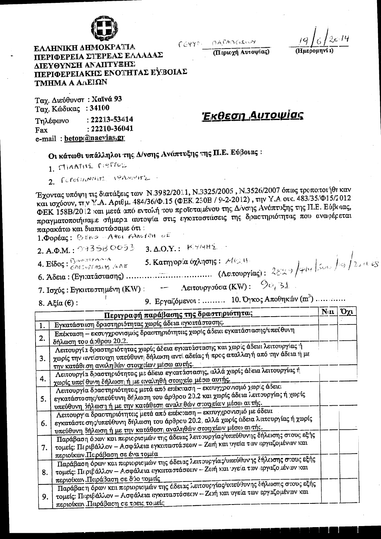

MAPADGELWY  $CCHY^{\circ}$ 

(Περιοχή Αυτοψίας)

**EAAHNIKH AHMOKPATIA** ΠΕΡΙΦΕΡΕΙΑ ΣΤΕΡΕΑΣ ΕΛΛΑΔΑΣ ΔΙΕΥΘΥΝΣΗ ΑΝΑΠΤΥΞΗΣ ΠΕΡΙΦΕΡΕΙΑΚΗΣ ΕΝΟΤΗΤΑΣ ΕΥΒΟΙΑΣ TMHMA Α ΑΛΕΙΩΝ

Ταχ. Διεύθυνστ: Χαϊνά 93 Ταγ. Κώδικας: 34100

 $: 22213 - 53414$ Τηλέφωνο  $: 22210 - 36041$ Fax e-mail: betop@naevias.gr

<u>Έκθεση Αυτοψίας</u>

Οι κάτωθι υπάλληλοι της Δ/νσης Ανάπτυξης της Π.Ε. Εύβοιας:

1. MIAATHE MEPTOS

2. CONTINUITY PANNING

Έχοντας υπόψη τις διατάξεις των Ν.3982/2011, Ν.3325/2005, Ν.3526/2007 όπως τροποιτοι ήθη καν και ισχύουν, την Υ.Α. Αριθμ. 484/36/Φ.15 (ΦΕΚ. 230Β / 9-2-2012), την Υ.Α. οικ. 483/35/Φ15/2012 ΦΕΚ 158Β/2012 και μετά από εντολή του προϊσταμένου της Δ/νσης Ανάπτυξης της Π.Ε. Εύβαιας, πραγματοποιή σαμε σήμερα αυτοψία στις εγκαταστάσεις της δραστηριότητας που οναφέρεται παρακάτω και διαπιστώσαμε ότι:

1. Doptag: BERO - Aves FAncion of

 $2. A.\Phi.M.: 9435B OO53 - 3. A.O.Y.: K.774H2.$ 

 $8.$  Αξία (ε):

9. Εργαζόμενοι: ......... 10. Όγκος Αποίηκών (m<sup>3</sup>) .............

|    | Περιγραφή παράβαιης της δραστηριότητας                                                                                                                                                                                                 | N(u) | Όχι |
|----|----------------------------------------------------------------------------------------------------------------------------------------------------------------------------------------------------------------------------------------|------|-----|
| 1. | Εγκατάστιιση δραστηριότητας χωρίς άδεια εγκιτάστασης.                                                                                                                                                                                  |      |     |
| 2. | Επέκταση - εκσυγχρονισμός δραστηριότητας χωρίς άδεια εγκατάστασης/υπεύθυνη<br>δήλωση του άρθρου 20.2.                                                                                                                                  |      |     |
| 3. | Λειτουργία δραστηριότητας χωρίς άδεια εγκατάστασης και χωρίς άδεια λειτουργίας ή<br>χωρίς την αντίστουχη υπεύθυνη δήλωση αντί αδείας ή προς απαλλαγή από την άδεια ή με<br>την κατάθεση αναληθών στοιχείων μέσω αυτής.                 |      |     |
| 4. | Λειτουργία δραστηριότητας με άδεια εγκατάστασης, αλλά χωρίς άδεια λειτουργίας ή<br>χωρίς υπεί θυνη δήλιοση ή με αναληθή στοιχείο μέσω αυτής.                                                                                           |      |     |
| 5. | Λειτουργία δραστηριότητος μετά από επέκυαση - εκτυγχρονισμό χωρις άδεια<br>εγκατάστοσης/υπεύθυνη δήλωση του άρθρου 20.2 και χωρίς άδεια λειτουργίας ή χωρίς<br>υπεύθυνη δήλωση ή με την κατάθεση αναληθών στοιχείων μέσω αυτής.        |      |     |
| 6. | Λειτουργία δραστηριότητας μετά από επέκταση - εκσυγχρονισμό με άδεια<br>εγκατάστε σης/υπεύθυνη δήλωση του άρθρου 20.2, αλλά χωρίς άδεια λειτουργίας ή χωρίς<br><u>υπεύθυνη δήλωση ή με την κατάθεση αναληθών στοιγείαν μέσω αυτής.</u> |      |     |
| 7. | Παράβαση όρων και περιορισμών της άδειας λειτουργίας/υπεύθυνης δήλωσης στους εξής<br>τομείς: Περιβάλλον - Ασφάλεια εγκιταστάσεων - Ζωή και υγεία των εργαζομένων και<br>περιοίκων. Παράβαση σε ένα τομέα                               |      |     |
| 8. | Παράβαση όρων κοι περιορισμών της άδευας λειτουργίας/υπεύθυνης δήλωσης στους εξής<br>τομείς: Περιβάλλον - Ασφάλεια εγκαταστάσεον - Ζονή και γγεία των εργαζομένων και<br>περιοίκων. Παράβαση σε δύο τομείς                             |      |     |
| 9. | Παράβας η όρων και περιορισμών της όδειας λειτουργίας/υπεύθυνης δήλωσης στους εξής<br>τομείς: Πι: ριβιάλλον - Ασφάλεια εγκιπαστάσεων - Ζωή και υγεία των εργαζομένων και<br>περιρίκων. Παράβας η σε τρεις το μείς                      |      |     |